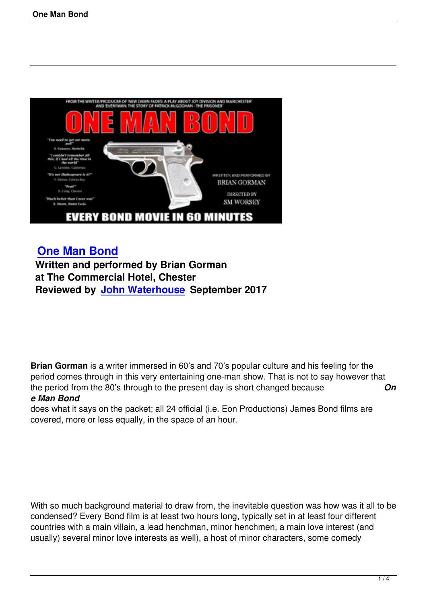

## **One Man Bond**

 **Written and performed by Brian Gorman at The Commercial Hotel, Chester [Reviewed by Joh](one-man-bond.html)n Waterhouse September 2017**

**Brian Gorman** is a writer immersed in 60's and 70's popular culture and his feeling for the period comes through in this very entertaining one-man show. That is not to say however that the period from the 80's through to the present day is short changed because *On e Man Bond*

## does what it says on the packet; all 24 official (i.e. Eon Productions) James Bond films are covered, more or less equally, in the space of an hour.

With so much background material to draw from, the inevitable question was how was it all to be condensed? Every Bond film is at least two hours long, typically set in at least four different countries with a main villain, a lead henchman, minor henchmen, a main love interest (and usually) several minor love interests as well), a host of minor characters, some comedy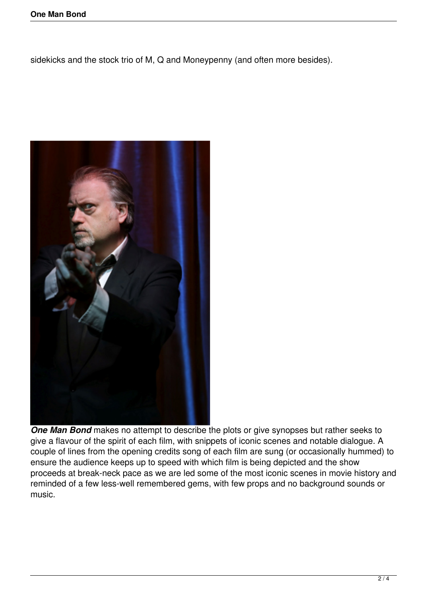sidekicks and the stock trio of M, Q and Moneypenny (and often more besides).



*One Man Bond* makes no attempt to describe the plots or give synopses but rather seeks to give a flavour of the spirit of each film, with snippets of iconic scenes and notable dialogue. A couple of lines from the opening credits song of each film are sung (or occasionally hummed) to ensure the audience keeps up to speed with which film is being depicted and the show proceeds at break-neck pace as we are led some of the most iconic scenes in movie history and reminded of a few less-well remembered gems, with few props and no background sounds or music.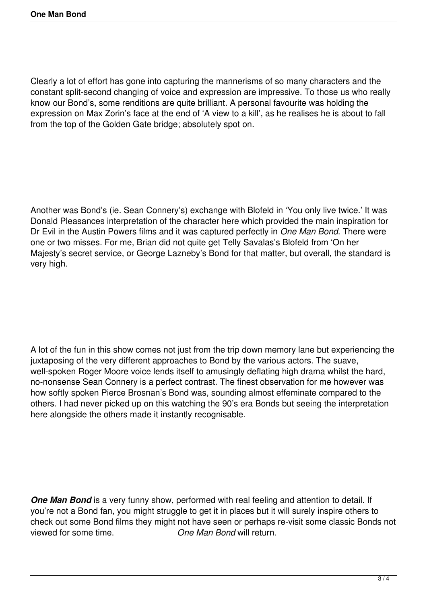Clearly a lot of effort has gone into capturing the mannerisms of so many characters and the constant split-second changing of voice and expression are impressive. To those us who really know our Bond's, some renditions are quite brilliant. A personal favourite was holding the expression on Max Zorin's face at the end of 'A view to a kill', as he realises he is about to fall from the top of the Golden Gate bridge; absolutely spot on.

Another was Bond's (ie. Sean Connery's) exchange with Blofeld in 'You only live twice.' It was Donald Pleasances interpretation of the character here which provided the main inspiration for Dr Evil in the Austin Powers films and it was captured perfectly in *One Man Bond*. There were one or two misses. For me, Brian did not quite get Telly Savalas's Blofeld from 'On her Majesty's secret service, or George Lazneby's Bond for that matter, but overall, the standard is very high.

A lot of the fun in this show comes not just from the trip down memory lane but experiencing the juxtaposing of the very different approaches to Bond by the various actors. The suave, well-spoken Roger Moore voice lends itself to amusingly deflating high drama whilst the hard, no-nonsense Sean Connery is a perfect contrast. The finest observation for me however was how softly spoken Pierce Brosnan's Bond was, sounding almost effeminate compared to the others. I had never picked up on this watching the 90's era Bonds but seeing the interpretation here alongside the others made it instantly recognisable.

**One Man Bond** is a very funny show, performed with real feeling and attention to detail. If you're not a Bond fan, you might struggle to get it in places but it will surely inspire others to check out some Bond films they might not have seen or perhaps re-visit some classic Bonds not viewed for some time. *One Man Bond* will return.